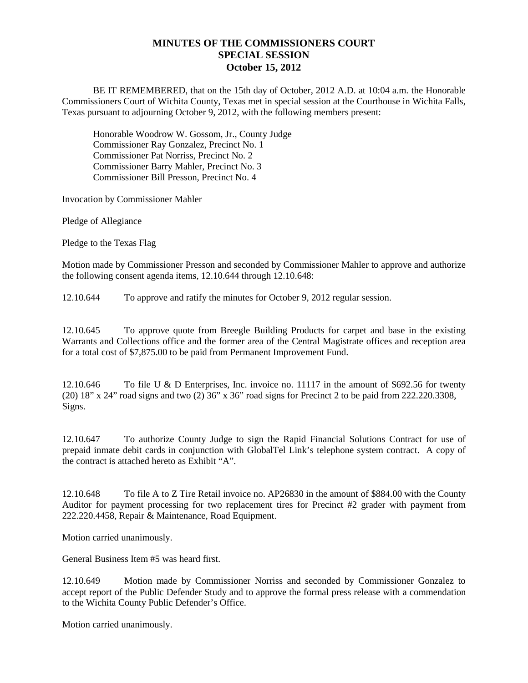## **MINUTES OF THE COMMISSIONERS COURT SPECIAL SESSION October 15, 2012**

BE IT REMEMBERED, that on the 15th day of October, 2012 A.D. at 10:04 a.m. the Honorable Commissioners Court of Wichita County, Texas met in special session at the Courthouse in Wichita Falls, Texas pursuant to adjourning October 9, 2012, with the following members present:

Honorable Woodrow W. Gossom, Jr., County Judge Commissioner Ray Gonzalez, Precinct No. 1 Commissioner Pat Norriss, Precinct No. 2 Commissioner Barry Mahler, Precinct No. 3 Commissioner Bill Presson, Precinct No. 4

Invocation by Commissioner Mahler

Pledge of Allegiance

Pledge to the Texas Flag

Motion made by Commissioner Presson and seconded by Commissioner Mahler to approve and authorize the following consent agenda items, 12.10.644 through 12.10.648:

12.10.644 To approve and ratify the minutes for October 9, 2012 regular session.

12.10.645 To approve quote from Breegle Building Products for carpet and base in the existing Warrants and Collections office and the former area of the Central Magistrate offices and reception area for a total cost of \$7,875.00 to be paid from Permanent Improvement Fund.

12.10.646 To file U & D Enterprises, Inc. invoice no. 11117 in the amount of \$692.56 for twenty (20) 18" x 24" road signs and two (2) 36" x 36" road signs for Precinct 2 to be paid from 222.220.3308, Signs.

12.10.647 To authorize County Judge to sign the Rapid Financial Solutions Contract for use of prepaid inmate debit cards in conjunction with GlobalTel Link's telephone system contract. A copy of the contract is attached hereto as Exhibit "A".

12.10.648 To file A to Z Tire Retail invoice no. AP26830 in the amount of \$884.00 with the County Auditor for payment processing for two replacement tires for Precinct #2 grader with payment from 222.220.4458, Repair & Maintenance, Road Equipment.

Motion carried unanimously.

General Business Item #5 was heard first.

12.10.649 Motion made by Commissioner Norriss and seconded by Commissioner Gonzalez to accept report of the Public Defender Study and to approve the formal press release with a commendation to the Wichita County Public Defender's Office.

Motion carried unanimously.